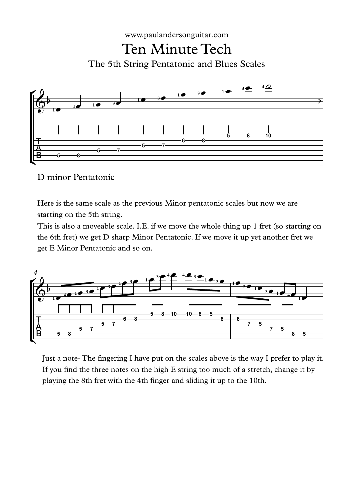



## D minor Pentatonic

Here is the same scale as the previous Minor pentatonic scales but now we are starting on the 5th string.

This is also a moveable scale. I.E. if we move the whole thing up 1 fret (so starting on the 6th fret) we get D sharp Minor Pentatonic. If we move it up yet another fret we get E Minor Pentatonic and so on.



Just a note- The fingering I have put on the scales above is the way I prefer to play it. If you find the three notes on the high  $E$  string too much of a stretch, change it by playing the 8th fret with the 4th finger and sliding it up to the 10th.